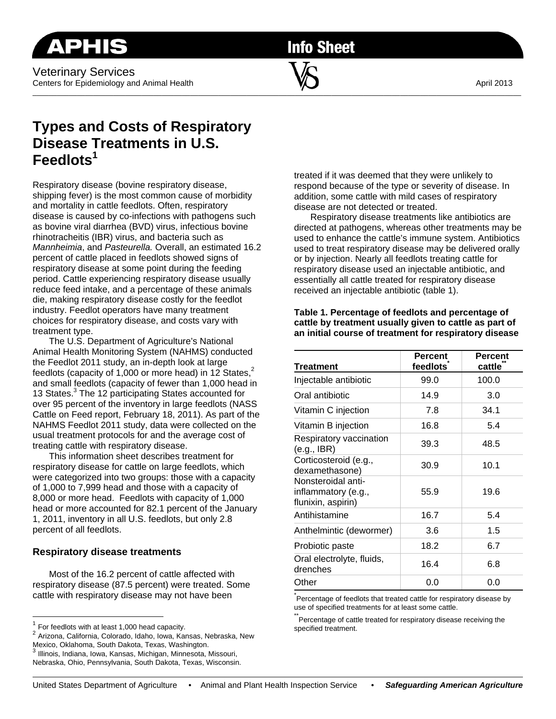Veterinary Services Centers for Epidemiology and Animal Health  $\blacksquare$   $\blacksquare$ 

**Info Sheet** 

 $\overline{\phantom{a}}$  , and the contribution of the contribution of  $\overline{\phantom{a}}$  , and  $\overline{\phantom{a}}$  , and  $\overline{\phantom{a}}$  , and  $\overline{\phantom{a}}$ 

# **Types and Costs of Respiratory Disease Treatments in U.S. Feedlots1**

Respiratory disease (bovine respiratory disease, shipping fever) is the most common cause of morbidity and mortality in cattle feedlots. Often, respiratory disease is caused by co-infections with pathogens such as bovine viral diarrhea (BVD) virus, infectious bovine rhinotracheitis (IBR) virus, and bacteria such as *Mannheimia*, and *Pasteurella.* Overall, an estimated 16.2 percent of cattle placed in feedlots showed signs of respiratory disease at some point during the feeding period. Cattle experiencing respiratory disease usually reduce feed intake, and a percentage of these animals die, making respiratory disease costly for the feedlot industry. Feedlot operators have many treatment choices for respiratory disease, and costs vary with treatment type.

The U.S. Department of Agriculture's National Animal Health Monitoring System (NAHMS) conducted the Feedlot 2011 study, an in-depth look at large feedlots (capacity of 1,000 or more head) in 12 States, $2^2$ and small feedlots (capacity of fewer than 1,000 head in 13 States.<sup>3</sup> The 12 participating States accounted for over 95 percent of the inventory in large feedlots (NASS Cattle on Feed report, February 18, 2011). As part of the NAHMS Feedlot 2011 study, data were collected on the usual treatment protocols for and the average cost of treating cattle with respiratory disease.

This information sheet describes treatment for respiratory disease for cattle on large feedlots, which were categorized into two groups: those with a capacity of 1,000 to 7,999 head and those with a capacity of 8,000 or more head. Feedlots with capacity of 1,000 head or more accounted for 82.1 percent of the January 1, 2011, inventory in all U.S. feedlots, but only 2.8 percent of all feedlots.

## **Respiratory disease treatments**

Most of the 16.2 percent of cattle affected with respiratory disease (87.5 percent) were treated. Some cattle with respiratory disease may not have been

treated if it was deemed that they were unlikely to respond because of the type or severity of disease. In addition, some cattle with mild cases of respiratory disease are not detected or treated.

Respiratory disease treatments like antibiotics are directed at pathogens, whereas other treatments may be used to enhance the cattle's immune system. Antibiotics used to treat respiratory disease may be delivered orally or by injection. Nearly all feedlots treating cattle for respiratory disease used an injectable antibiotic, and essentially all cattle treated for respiratory disease received an injectable antibiotic (table 1).

#### **Table 1. Percentage of feedlots and percentage of cattle by treatment usually given to cattle as part of an initial course of treatment for respiratory disease**

| <b>Treatment</b>                                                | Percent<br>feedlots | <b>Percent</b><br>cattle |
|-----------------------------------------------------------------|---------------------|--------------------------|
| Injectable antibiotic                                           | 99.0                | 100.0                    |
| Oral antibiotic                                                 | 14.9                | 3.0                      |
| Vitamin C injection                                             | 7.8                 | 34.1                     |
| Vitamin B injection                                             | 16.8                | 5.4                      |
| Respiratory vaccination<br>(e.g., IBR)                          | 39.3                | 48.5                     |
| Corticosteroid (e.g.,<br>dexamethasone)                         | 30.9                | 10.1                     |
| Nonsteroidal anti-<br>inflammatory (e.g.,<br>flunixin, aspirin) | 55.9                | 19.6                     |
| Antihistamine                                                   | 16.7                | 5.4                      |
| Anthelmintic (dewormer)                                         | 3.6                 | 1.5                      |
| Probiotic paste                                                 | 18.2                | 6.7                      |
| Oral electrolyte, fluids,<br>drenches                           | 16.4                | 6.8                      |
| Other                                                           | 0.0                 | 0.0                      |

\*<br>Percentage of feedlots that treated cattle for respiratory disease by use of specified treatments for at least some cattle.

Percentage of cattle treated for respiratory disease receiving the specified treatment.

 $1$  For feedlots with at least 1,000 head capacity.

<sup>2</sup> For feedlots with at least 1,000 heads 1,000 heads 2 Arizona, California, Colorado, Idaho, Iowa, Kansas, Nebraska, New Mexico, Oklahoma, South Dakota, Texas, Washington.

 $^3$  Illinois, Indiana, Iowa, Kansas, Michigan, Minnesota, Missouri, Nebraska, Ohio, Pennsylvania, South Dakota, Texas, Wisconsin.